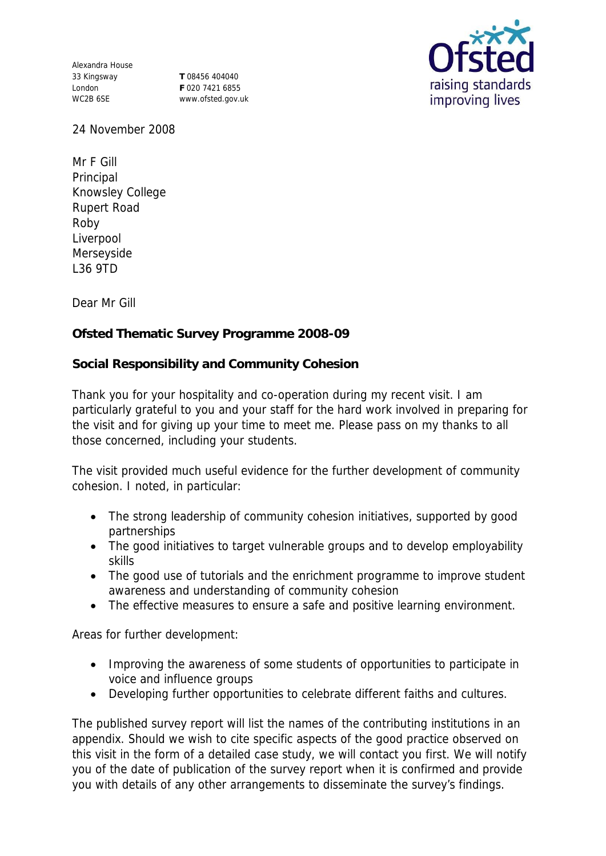Alexandra House 33 Kingsway London WC2B 6SE

**T** 08456 404040 **F** 020 7421 6855 www.ofsted.gov.uk



24 November 2008

Mr F Gill Principal Knowsley College Rupert Road Roby Liverpool Merseyside L36 9TD

Dear Mr Gill

**Ofsted Thematic Survey Programme 2008-09**

**Social Responsibility and Community Cohesion**

Thank you for your hospitality and co-operation during my recent visit. I am particularly grateful to you and your staff for the hard work involved in preparing for the visit and for giving up your time to meet me. Please pass on my thanks to all those concerned, including your students.

The visit provided much useful evidence for the further development of community cohesion. I noted, in particular:

- The strong leadership of community cohesion initiatives, supported by good partnerships
- The good initiatives to target vulnerable groups and to develop employability skills
- The good use of tutorials and the enrichment programme to improve student awareness and understanding of community cohesion
- The effective measures to ensure a safe and positive learning environment.

Areas for further development:

- Improving the awareness of some students of opportunities to participate in voice and influence groups
- Developing further opportunities to celebrate different faiths and cultures.

The published survey report will list the names of the contributing institutions in an appendix. Should we wish to cite specific aspects of the good practice observed on this visit in the form of a detailed case study, we will contact you first. We will notify you of the date of publication of the survey report when it is confirmed and provide you with details of any other arrangements to disseminate the survey's findings.